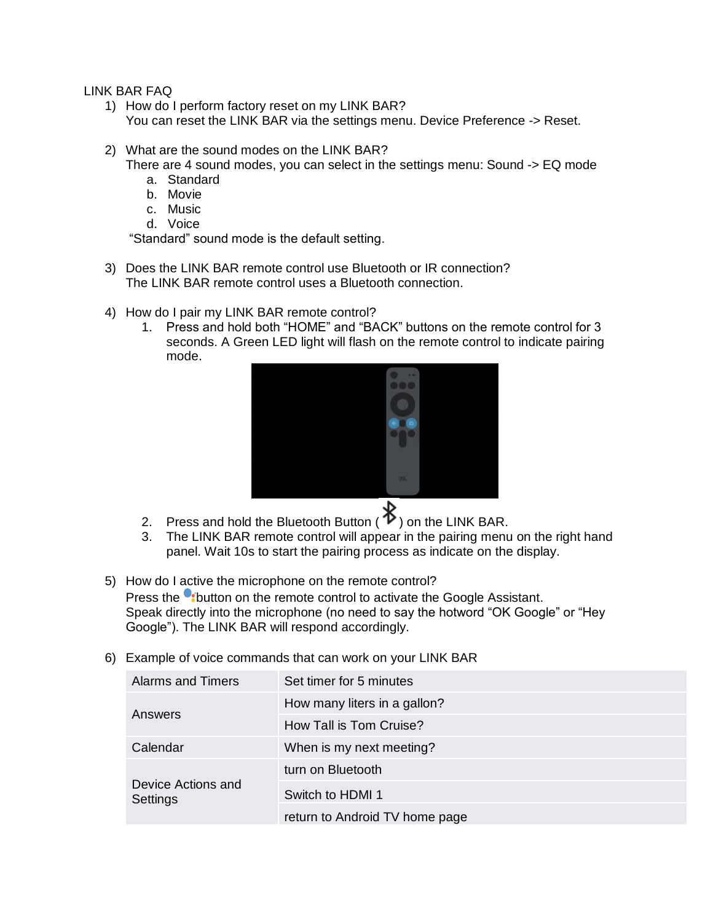LINK BAR FAQ

- 1) How do I perform factory reset on my LINK BAR? You can reset the LINK BAR via the settings menu. Device Preference -> Reset.
- 2) What are the sound modes on the LINK BAR?
	- There are 4 sound modes, you can select in the settings menu: Sound -> EQ mode
		- a. Standard
		- b. Movie
		- c. Music
		- d. Voice

"Standard" sound mode is the default setting.

- 3) Does the LINK BAR remote control use Bluetooth or IR connection? The LINK BAR remote control uses a Bluetooth connection.
- 4) How do I pair my LINK BAR remote control?
	- 1. Press and hold both "HOME" and "BACK" buttons on the remote control for 3 seconds. A Green LED light will flash on the remote control to indicate pairing mode.



- 2. Press and hold the Bluetooth Button  $(\mathscr{K})$  on the LINK BAR.
- 3. The LINK BAR remote control will appear in the pairing menu on the right hand panel. Wait 10s to start the pairing process as indicate on the display.
- 5) How do I active the microphone on the remote control? Press the **Control on the remote control to activate the Google Assistant.** Speak directly into the microphone (no need to say the hotword "OK Google" or "Hey Google"). The LINK BAR will respond accordingly.
- 6) Example of voice commands that can work on your LINK BAR

| <b>Alarms and Timers</b>       | Set timer for 5 minutes        |
|--------------------------------|--------------------------------|
| Answers                        | How many liters in a gallon?   |
|                                | How Tall is Tom Cruise?        |
| Calendar                       | When is my next meeting?       |
| Device Actions and<br>Settings | turn on Bluetooth              |
|                                | Switch to HDMI 1               |
|                                | return to Android TV home page |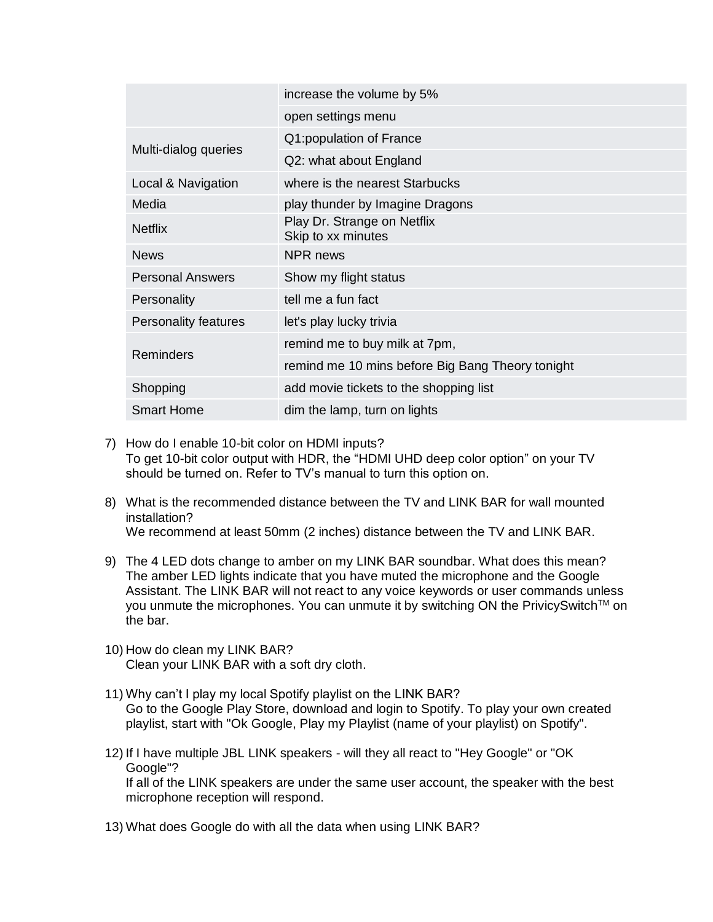|                             | increase the volume by 5%                         |
|-----------------------------|---------------------------------------------------|
|                             | open settings menu                                |
| Multi-dialog queries        | Q1: population of France                          |
|                             | Q2: what about England                            |
| Local & Navigation          | where is the nearest Starbucks                    |
| Media                       | play thunder by Imagine Dragons                   |
| <b>Netflix</b>              | Play Dr. Strange on Netflix<br>Skip to xx minutes |
| <b>News</b>                 | NPR news                                          |
| <b>Personal Answers</b>     | Show my flight status                             |
| Personality                 | tell me a fun fact                                |
| <b>Personality features</b> | let's play lucky trivia                           |
| <b>Reminders</b>            | remind me to buy milk at 7pm,                     |
|                             | remind me 10 mins before Big Bang Theory tonight  |
| Shopping                    | add movie tickets to the shopping list            |
| <b>Smart Home</b>           | dim the lamp, turn on lights                      |

- 7) How do I enable 10-bit color on HDMI inputs? To get 10-bit color output with HDR, the "HDMI UHD deep color option" on your TV should be turned on. Refer to TV's manual to turn this option on.
- 8) What is the recommended distance between the TV and LINK BAR for wall mounted installation? We recommend at least 50mm (2 inches) distance between the TV and LINK BAR.
- 9) The 4 LED dots change to amber on my LINK BAR soundbar. What does this mean? The amber LED lights indicate that you have muted the microphone and the Google Assistant. The LINK BAR will not react to any voice keywords or user commands unless you unmute the microphones. You can unmute it by switching ON the PrivicySwitch<sup>TM</sup> on the bar.
- 10) How do clean my LINK BAR? Clean your LINK BAR with a soft dry cloth.
- 11) Why can't I play my local Spotify playlist on the LINK BAR? Go to the Google Play Store, download and login to Spotify. To play your own created playlist, start with "Ok Google, Play my Playlist (name of your playlist) on Spotify".
- 12) If I have multiple JBL LINK speakers will they all react to "Hey Google" or "OK Google"? If all of the LINK speakers are under the same user account, the speaker with the best microphone reception will respond.
- 13) What does Google do with all the data when using LINK BAR?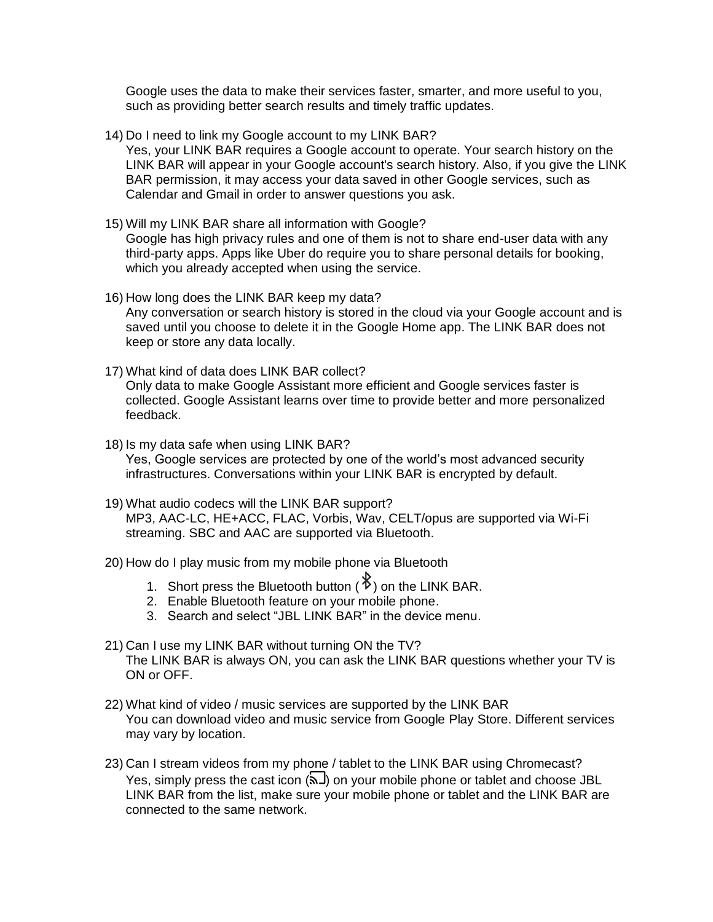Google uses the data to make their services faster, smarter, and more useful to you, such as providing better search results and timely traffic updates.

- 14) Do I need to link my Google account to my LINK BAR? Yes, your LINK BAR requires a Google account to operate. Your search history on the LINK BAR will appear in your Google account's search history. Also, if you give the LINK BAR permission, it may access your data saved in other Google services, such as Calendar and Gmail in order to answer questions you ask.
- 15) Will my LINK BAR share all information with Google? Google has high privacy rules and one of them is not to share end-user data with any third-party apps. Apps like Uber do require you to share personal details for booking, which you already accepted when using the service.
- 16) How long does the LINK BAR keep my data? Any conversation or search history is stored in the cloud via your Google account and is saved until you choose to delete it in the Google Home app. The LINK BAR does not keep or store any data locally.
- 17) What kind of data does LINK BAR collect? Only data to make Google Assistant more efficient and Google services faster is collected. Google Assistant learns over time to provide better and more personalized feedback.
- 18) Is my data safe when using LINK BAR? Yes, Google services are protected by one of the world's most advanced security infrastructures. Conversations within your LINK BAR is encrypted by default.
- 19) What audio codecs will the LINK BAR support? MP3, AAC-LC, HE+ACC, FLAC, Vorbis, Wav, CELT/opus are supported via Wi-Fi streaming. SBC and AAC are supported via Bluetooth.
- 20) How do I play music from my mobile phone via Bluetooth
	- 1. Short press the Bluetooth button  $(\mathscr{F})$  on the LINK BAR.
	- 2. Enable Bluetooth feature on your mobile phone.
	- 3. Search and select "JBL LINK BAR" in the device menu.
- 21) Can I use my LINK BAR without turning ON the TV? The LINK BAR is always ON, you can ask the LINK BAR questions whether your TV is ON or OFF.
- 22) What kind of video / music services are supported by the LINK BAR You can download video and music service from Google Play Store. Different services may vary by location.
- 23) Can I stream videos from my phone / tablet to the LINK BAR using Chromecast? Yes, simply press the cast icon  $(\overline{\mathbf{a}})$  on your mobile phone or tablet and choose JBL LINK BAR from the list, make sure your mobile phone or tablet and the LINK BAR are connected to the same network.